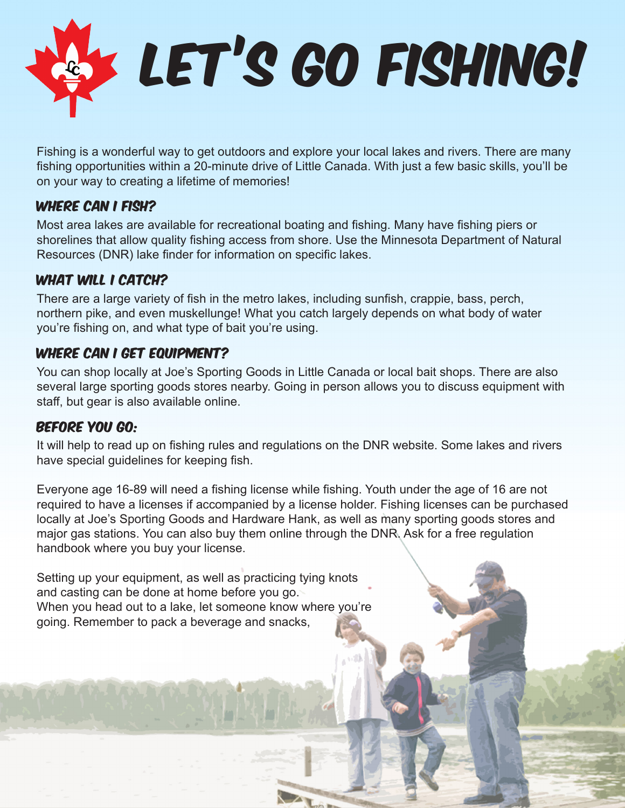

Fishing is a wonderful way to get outdoors and explore your local lakes and rivers. There are many fishing opportunities within a 20-minute drive of Little Canada. With just a few basic skills, you'll be on your way to creating a lifetime of memories!

#### WHERE CAN I FISH?

Most area lakes are available for recreational boating and fishing. Many have fishing piers or shorelines that allow quality fishing access from shore. Use the Minnesota Department of Natural Resources (DNR) lake finder for information on specific lakes.

### WHAT WILL I CATCH?

There are a large variety of fish in the metro lakes, including sunfish, crappie, bass, perch, northern pike, and even muskellunge! What you catch largely depends on what body of water you're fishing on, and what type of bait you're using.

### WHERE CAN I GET EQUIPMENT?

You can shop locally at Joe's Sporting Goods in Little Canada or local bait shops. There are also several large sporting goods stores nearby. Going in person allows you to discuss equipment with staff, but gear is also available online.

#### Before you go:

It will help to read up on fishing rules and regulations on the DNR website. Some lakes and rivers have special guidelines for keeping fish.

Everyone age 16-89 will need a fishing license while fishing. Youth under the age of 16 are not required to have a licenses if accompanied by a license holder. Fishing licenses can be purchased locally at Joe's Sporting Goods and Hardware Hank, as well as many sporting goods stores and major gas stations. You can also buy them online through the DNR. Ask for a free regulation handbook where you buy your license.

Setting up your equipment, as well as practicing tying knots and casting can be done at home before you go. When you head out to a lake, let someone know where you're going. Remember to pack a beverage and snacks,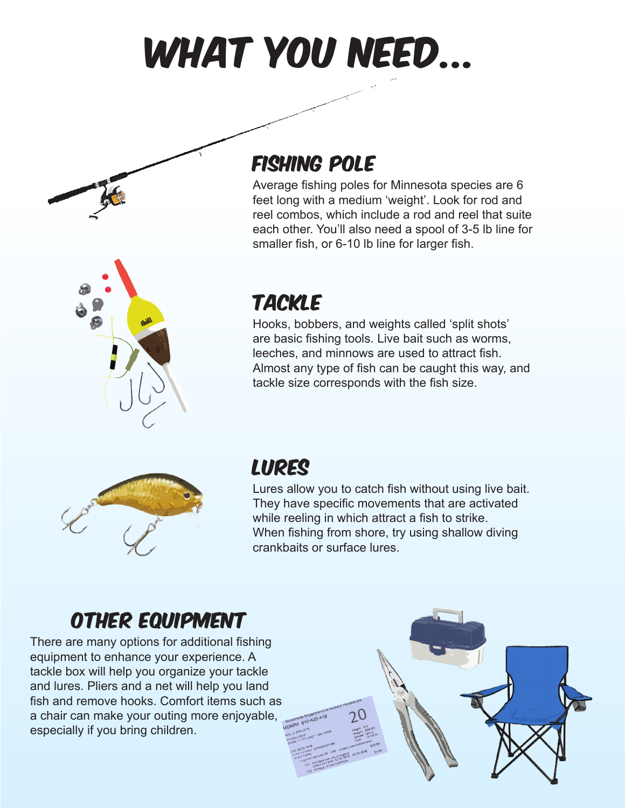



Average fishing poles for Minnesota species are 6 feet long with a medium 'weight'. Look for rod and reel combos, which include a rod and reel that suite each other. You'll also need a spool of 3-5 lb line for smaller fish, or 6-10 lb line for larger fish.



## tackle

Hooks, bobbers, and weights called 'split shots' are basic fishing tools. Live bait such as worms, leeches, and minnows are used to attract fish. Almost any type of fish can be caught this way, and tackle size corresponds with the fish size.



## **LURES**

Lures allow you to catch fish without using live bait. They have specific movements that are activated while reeling in which attract a fish to strike. When fishing from shore, try using shallow diving crankbaits or surface lures.

## other equipment

There are many options for additional fishing equipment to enhance your experience. A tackle box will help you organize your tackle and lures. Pliers and a net will help you land fish and remove hooks. Comfort items such as a chair can make your outing more enjoyable, especially if you bring children.